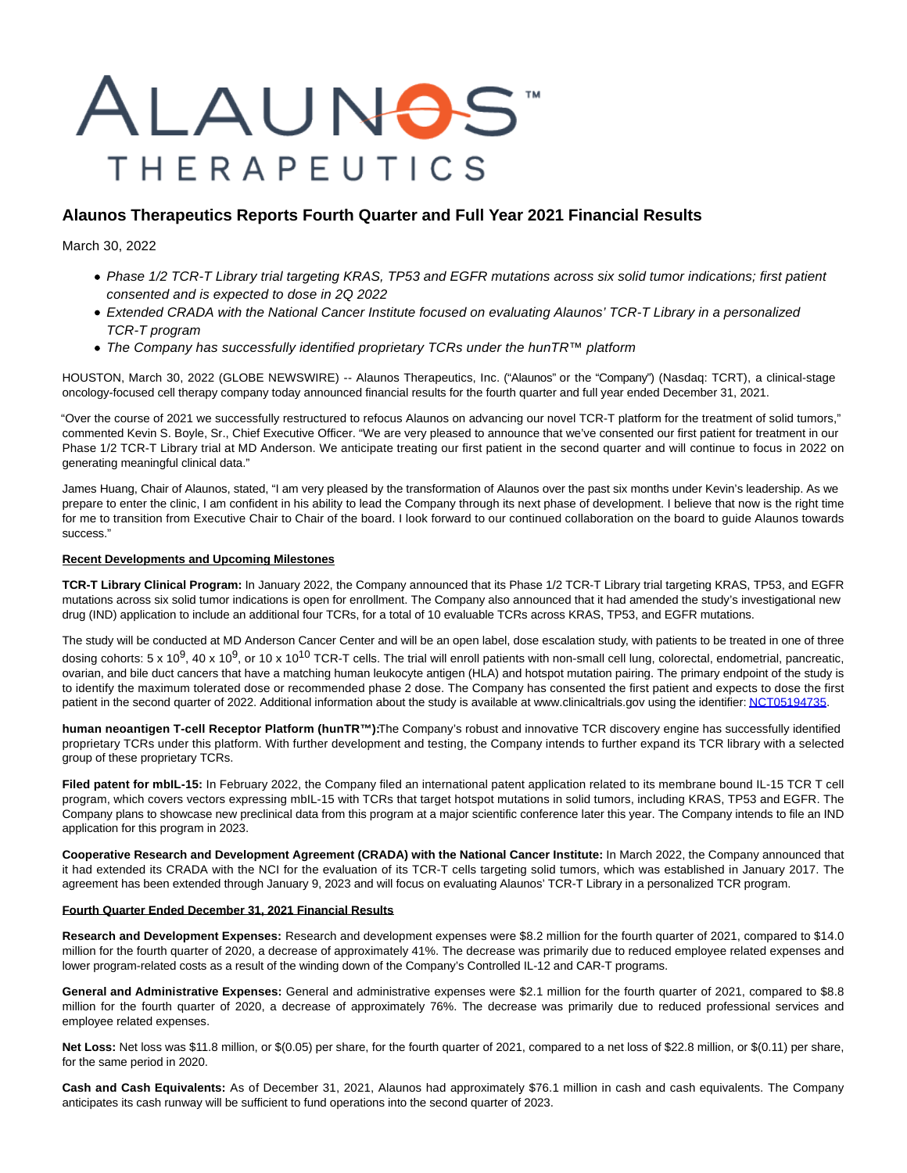# ALAUNOS **THERAPEUTICS**

# **Alaunos Therapeutics Reports Fourth Quarter and Full Year 2021 Financial Results**

March 30, 2022

- Phase 1/2 TCR-T Library trial targeting KRAS, TP53 and EGFR mutations across six solid tumor indications; first patient consented and is expected to dose in 2Q 2022
- Extended CRADA with the National Cancer Institute focused on evaluating Alaunos' TCR-T Library in a personalized TCR-T program
- The Company has successfully identified proprietary TCRs under the hunTR™ platform

HOUSTON, March 30, 2022 (GLOBE NEWSWIRE) -- Alaunos Therapeutics, Inc. ("Alaunos" or the "Company") (Nasdaq: TCRT), a clinical-stage oncology-focused cell therapy company today announced financial results for the fourth quarter and full year ended December 31, 2021.

"Over the course of 2021 we successfully restructured to refocus Alaunos on advancing our novel TCR-T platform for the treatment of solid tumors," commented Kevin S. Boyle, Sr., Chief Executive Officer. "We are very pleased to announce that we've consented our first patient for treatment in our Phase 1/2 TCR-T Library trial at MD Anderson. We anticipate treating our first patient in the second quarter and will continue to focus in 2022 on generating meaningful clinical data."

James Huang, Chair of Alaunos, stated, "I am very pleased by the transformation of Alaunos over the past six months under Kevin's leadership. As we prepare to enter the clinic, I am confident in his ability to lead the Company through its next phase of development. I believe that now is the right time for me to transition from Executive Chair to Chair of the board. I look forward to our continued collaboration on the board to guide Alaunos towards success."

## **Recent Developments and Upcoming Milestones**

**TCR-T Library Clinical Program:** In January 2022, the Company announced that its Phase 1/2 TCR-T Library trial targeting KRAS, TP53, and EGFR mutations across six solid tumor indications is open for enrollment. The Company also announced that it had amended the study's investigational new drug (IND) application to include an additional four TCRs, for a total of 10 evaluable TCRs across KRAS, TP53, and EGFR mutations.

The study will be conducted at MD Anderson Cancer Center and will be an open label, dose escalation study, with patients to be treated in one of three dosing cohorts:  $5 \times 10^9$ ,  $40 \times 10^9$ , or 10  $\times 10^{10}$  TCR-T cells. The trial will enroll patients with non-small cell lung, colorectal, endometrial, pancreatic, ovarian, and bile duct cancers that have a matching human leukocyte antigen (HLA) and hotspot mutation pairing. The primary endpoint of the study is to identify the maximum tolerated dose or recommended phase 2 dose. The Company has consented the first patient and expects to dose the first patient in the second quarter of 2022. Additional information about the study is available at www.clinicaltrials.gov using the identifier[: NCT05194735.](https://www.globenewswire.com/Tracker?data=5nHE6s0ZrEm-iTJQlOppDjRo8xvPRBrJ2aSjHKSy6RQQRyvZfO885qL2e2zNwqBVuXzDnARwUoEBXjKUbeRnSC6GNtfJDwR6fJv698IiepuKypzjLLUNA1XOF-qwbxxCNfB_ZV4gCnwO-t9xaXJ2Cg==)

human neoantigen T-cell Receptor Platform (hunTR™): The Company's robust and innovative TCR discovery engine has successfully identified proprietary TCRs under this platform. With further development and testing, the Company intends to further expand its TCR library with a selected group of these proprietary TCRs.

**Filed patent for mbIL-15:** In February 2022, the Company filed an international patent application related to its membrane bound IL-15 TCR T cell program, which covers vectors expressing mbIL-15 with TCRs that target hotspot mutations in solid tumors, including KRAS, TP53 and EGFR. The Company plans to showcase new preclinical data from this program at a major scientific conference later this year. The Company intends to file an IND application for this program in 2023.

**Cooperative Research and Development Agreement (CRADA) with the National Cancer Institute:** In March 2022, the Company announced that it had extended its CRADA with the NCI for the evaluation of its TCR-T cells targeting solid tumors, which was established in January 2017. The agreement has been extended through January 9, 2023 and will focus on evaluating Alaunos' TCR-T Library in a personalized TCR program.

### **Fourth Quarter Ended December 31, 2021 Financial Results**

**Research and Development Expenses:** Research and development expenses were \$8.2 million for the fourth quarter of 2021, compared to \$14.0 million for the fourth quarter of 2020, a decrease of approximately 41%. The decrease was primarily due to reduced employee related expenses and lower program-related costs as a result of the winding down of the Company's Controlled IL-12 and CAR-T programs.

**General and Administrative Expenses:** General and administrative expenses were \$2.1 million for the fourth quarter of 2021, compared to \$8.8 million for the fourth quarter of 2020, a decrease of approximately 76%. The decrease was primarily due to reduced professional services and employee related expenses.

**Net Loss:** Net loss was \$11.8 million, or \$(0.05) per share, for the fourth quarter of 2021, compared to a net loss of \$22.8 million, or \$(0.11) per share, for the same period in 2020.

**Cash and Cash Equivalents:** As of December 31, 2021, Alaunos had approximately \$76.1 million in cash and cash equivalents. The Company anticipates its cash runway will be sufficient to fund operations into the second quarter of 2023.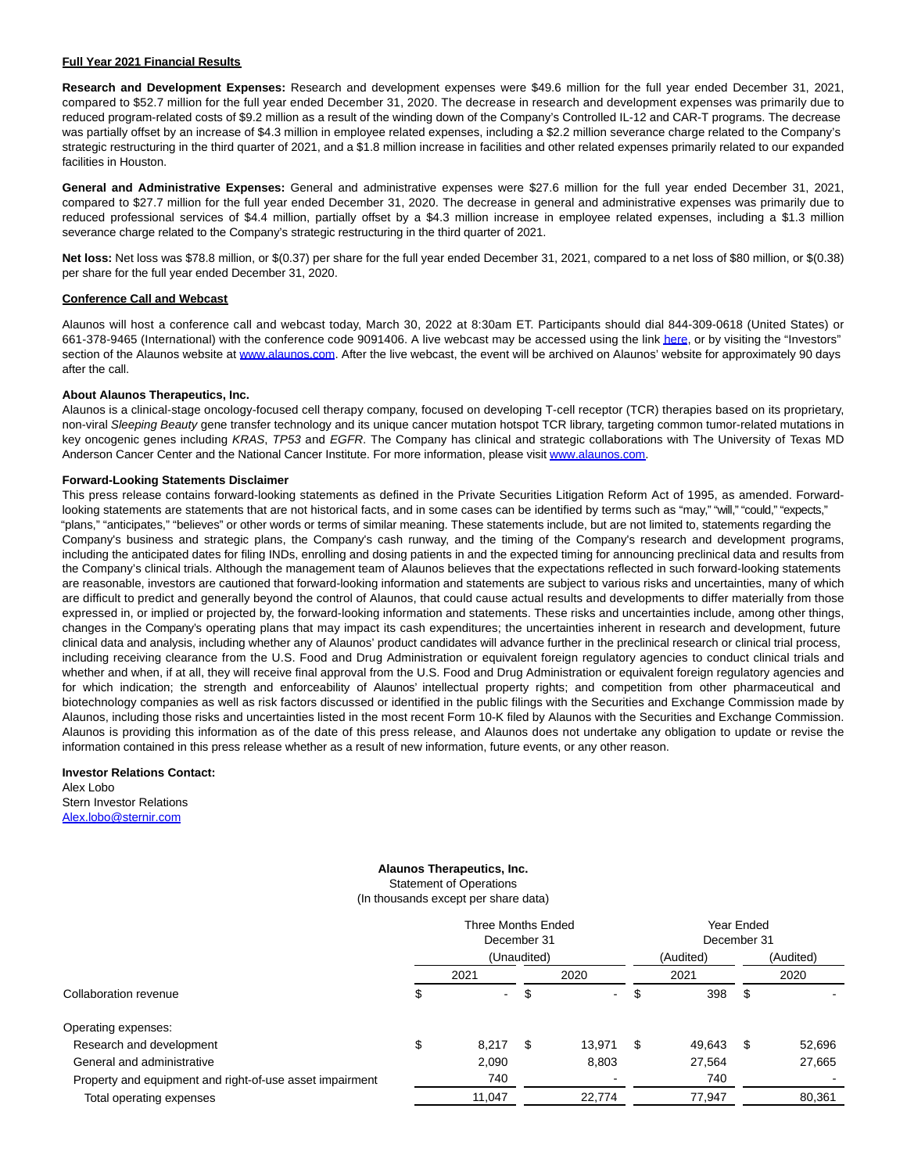#### **Full Year 2021 Financial Results**

**Research and Development Expenses:** Research and development expenses were \$49.6 million for the full year ended December 31, 2021, compared to \$52.7 million for the full year ended December 31, 2020. The decrease in research and development expenses was primarily due to reduced program-related costs of \$9.2 million as a result of the winding down of the Company's Controlled IL-12 and CAR-T programs. The decrease was partially offset by an increase of \$4.3 million in employee related expenses, including a \$2.2 million severance charge related to the Company's strategic restructuring in the third quarter of 2021, and a \$1.8 million increase in facilities and other related expenses primarily related to our expanded facilities in Houston.

**General and Administrative Expenses:** General and administrative expenses were \$27.6 million for the full year ended December 31, 2021, compared to \$27.7 million for the full year ended December 31, 2020. The decrease in general and administrative expenses was primarily due to reduced professional services of \$4.4 million, partially offset by a \$4.3 million increase in employee related expenses, including a \$1.3 million severance charge related to the Company's strategic restructuring in the third quarter of 2021.

**Net loss:** Net loss was \$78.8 million, or \$(0.37) per share for the full year ended December 31, 2021, compared to a net loss of \$80 million, or \$(0.38) per share for the full year ended December 31, 2020.

#### **Conference Call and Webcast**

Alaunos will host a conference call and webcast today, March 30, 2022 at 8:30am ET. Participants should dial 844-309-0618 (United States) or 661-378-9465 (International) with the conference code 9091406. A live webcast may be accessed using the link [here,](https://www.globenewswire.com/Tracker?data=XxiWkwr5Ys1rQjq4UhZ2LnkGMlgiDAtgEqFs06ie43MMmOrFVPOjiyMx5gRNCAkZF4Jpek0ahPN6u8TroAcfe9KrEml_OhQ5_BtCFg4Rqjw=) or by visiting the "Investors" section of the Alaunos website at [www.alaunos.com.](https://www.globenewswire.com/Tracker?data=aDTK0KT_CLH_KUncNpHohK9ySZBSCunl-xcz8hBul50HjlWallvwGwdJu7X44zEv_92qcnuc0RGMf-hVKDxF1w==) After the live webcast, the event will be archived on Alaunos' website for approximately 90 days after the call.

#### **About Alaunos Therapeutics, Inc.**

Alaunos is a clinical-stage oncology-focused cell therapy company, focused on developing T-cell receptor (TCR) therapies based on its proprietary, non-viral Sleeping Beauty gene transfer technology and its unique cancer mutation hotspot TCR library, targeting common tumor-related mutations in key oncogenic genes including KRAS, TP53 and EGFR. The Company has clinical and strategic collaborations with The University of Texas MD Anderson Cancer Center and the National Cancer Institute. For more information, please visi[t www.alaunos.com.](https://www.globenewswire.com/Tracker?data=aDTK0KT_CLH_KUncNpHohG_P3TNqLaNHRta20-eOIw6FGeOg4oNmHpMGta8r-wnghjeTzG4TFFSpn_3klpSecA==)

#### **Forward-Looking Statements Disclaimer**

This press release contains forward-looking statements as defined in the Private Securities Litigation Reform Act of 1995, as amended. Forwardlooking statements are statements that are not historical facts, and in some cases can be identified by terms such as "may," "will," "could," "expects," "plans," "anticipates," "believes" or other words or terms of similar meaning. These statements include, but are not limited to, statements regarding the Company's business and strategic plans, the Company's cash runway, and the timing of the Company's research and development programs, including the anticipated dates for filing INDs, enrolling and dosing patients in and the expected timing for announcing preclinical data and results from the Company's clinical trials. Although the management team of Alaunos believes that the expectations reflected in such forward-looking statements are reasonable, investors are cautioned that forward-looking information and statements are subject to various risks and uncertainties, many of which are difficult to predict and generally beyond the control of Alaunos, that could cause actual results and developments to differ materially from those expressed in, or implied or projected by, the forward-looking information and statements. These risks and uncertainties include, among other things, changes in the Company's operating plans that may impact its cash expenditures; the uncertainties inherent in research and development, future clinical data and analysis, including whether any of Alaunos' product candidates will advance further in the preclinical research or clinical trial process, including receiving clearance from the U.S. Food and Drug Administration or equivalent foreign regulatory agencies to conduct clinical trials and whether and when, if at all, they will receive final approval from the U.S. Food and Drug Administration or equivalent foreign regulatory agencies and for which indication; the strength and enforceability of Alaunos' intellectual property rights; and competition from other pharmaceutical and biotechnology companies as well as risk factors discussed or identified in the public filings with the Securities and Exchange Commission made by Alaunos, including those risks and uncertainties listed in the most recent Form 10-K filed by Alaunos with the Securities and Exchange Commission. Alaunos is providing this information as of the date of this press release, and Alaunos does not undertake any obligation to update or revise the information contained in this press release whether as a result of new information, future events, or any other reason.

#### **Investor Relations Contact:**

Alex Lobo Stern Investor Relations [Alex.lobo@sternir.com](https://www.globenewswire.com/Tracker?data=0rknRSTQxL7ah7Xgg8ED7C0OYq1ajavScq0JgWLvOFpBED6HFa58ntDFp6A8x5CKIvqdyvg3Bi2Y4a-e9k8y5-iYBhGJCeHIGXFKjZV5npo=)

#### **Alaunos Therapeutics, Inc.** Statement of Operations (In thousands except per share data)

|                                                          |    | Three Months Ended<br>December 31<br>(Unaudited) |    |        |    | Year Ended<br>December 31<br>(Audited)<br>(Audited) |    |        |  |
|----------------------------------------------------------|----|--------------------------------------------------|----|--------|----|-----------------------------------------------------|----|--------|--|
|                                                          |    | 2021                                             |    | 2020   |    | 2021                                                |    | 2020   |  |
| Collaboration revenue                                    | \$ | $\sim$                                           | \$ | $\sim$ | \$ | 398                                                 | \$ |        |  |
| Operating expenses:                                      |    |                                                  |    |        |    |                                                     |    |        |  |
| Research and development                                 | \$ | 8.217                                            | S  | 13,971 | S  | 49,643                                              | \$ | 52,696 |  |
| General and administrative                               |    | 2,090                                            |    | 8,803  |    | 27,564                                              |    | 27,665 |  |
| Property and equipment and right-of-use asset impairment |    | 740                                              |    |        |    | 740                                                 |    |        |  |
| Total operating expenses                                 |    | 11,047                                           |    | 22,774 |    | 77,947                                              |    | 80,361 |  |